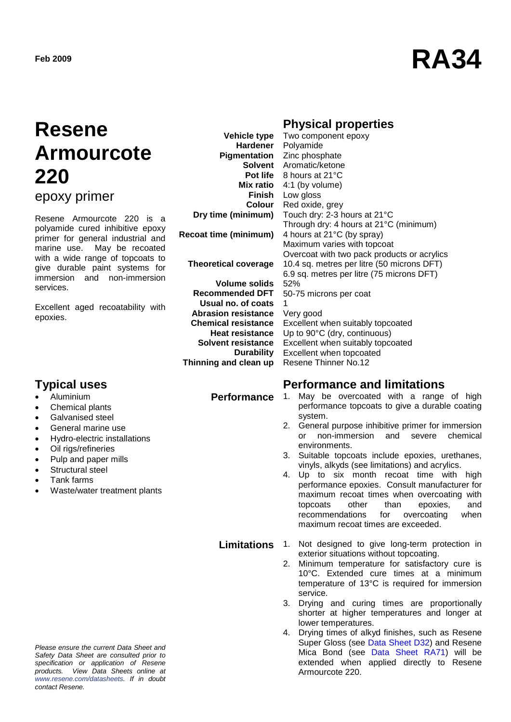# **Feb** 2009 **RA34**

## **Resene Armourcote 220**

epoxy primer

Resene Armourcote 220 is a polyamide cured inhibitive epoxy primer for general industrial and marine use. May be recoated with a wide range of topcoats to give durable paint systems for immersion and non-immersion services.

Excellent aged recoatability with epoxies.

- Aluminium
- Chemical plants
- Galvanised steel
- General marine use
- Hydro-electric installations
- Oil rigs/refineries
- Pulp and paper mills
- Structural steel
- Tank farms
- Waste/water treatment plants

**Dry time (minimum) Recoat time (minimum) Theoretical coverage Volume solids Recommended DFT Usual no. of coats**

**Abrasion resistance Chemical resistance Heat resistance Solvent resistance Durability Thinning and clean up**

### **Physical properties**

**Vehicle type Hardener Pigmentation** Zinc phosphate **Solvent** Aromatic/ketone **Pot life** 8 hours at 21°C **Mix ratio** 4:1 (by volume) **Finish** Low gloss **Colour** Two component epoxy Polyamide Red oxide, grey Touch dry: 2-3 hours at 21°C Through dry: 4 hours at 21°C (minimum) 4 hours at 21°C (by spray) Maximum varies with topcoat Overcoat with two pack products or acrylics 10.4 sq. metres per litre (50 microns DFT) 6.9 sq. metres per litre (75 microns DFT) 52% 50-75 microns per coat 1 Very good Excellent when suitably topcoated Up to 90°C (dry, continuous) Excellent when suitably topcoated Excellent when topcoated Resene Thinner No.12

#### **Typical uses Performance and limitations**

- **Performance** 1. May be overcoated with a range of high performance topcoats to give a durable coating system.
	- 2. General purpose inhibitive primer for immersion or non-immersion and severe chemical environments.
	- 3. Suitable topcoats include epoxies, urethanes, vinyls, alkyds (see limitations) and acrylics.
	- 4. Up to six month recoat time with high performance epoxies. Consult manufacturer for maximum recoat times when overcoating with<br>topcoats other than epoxies, and epoxies, and recommendations for overcoating when maximum recoat times are exceeded.
	- **Limitations** 1. Not designed to give long-term protection in exterior situations without topcoating.
		- 2. Minimum temperature for satisfactory cure is 10°C. Extended cure times at a minimum temperature of 13°C is required for immersion service.
		- 3. Drying and curing times are proportionally shorter at higher temperatures and longer at lower temperatures.
		- 4. Drying times of alkyd finishes, such as Resene Super Gloss (see [Data Sheet D32\)](http://www.resene.co.nz/archspec/datashts/d32_Super_Gloss_Enamel.pdf) and Resene Mica Bond (see [Data Sheet RA71\)](http://www.resene.co.nz/archspec/datashts/ra71_Mica_Bond.pdf) will be extended when applied directly to Resene Armourcote 220.

*Please ensure the current Data Sheet and Safety Data Sheet are consulted prior to specification or application of Resene products. View Data Sheets online at [www.resene.com/datasheets.](http://www.resene.com/datasheets) If in doubt contact Resene.*